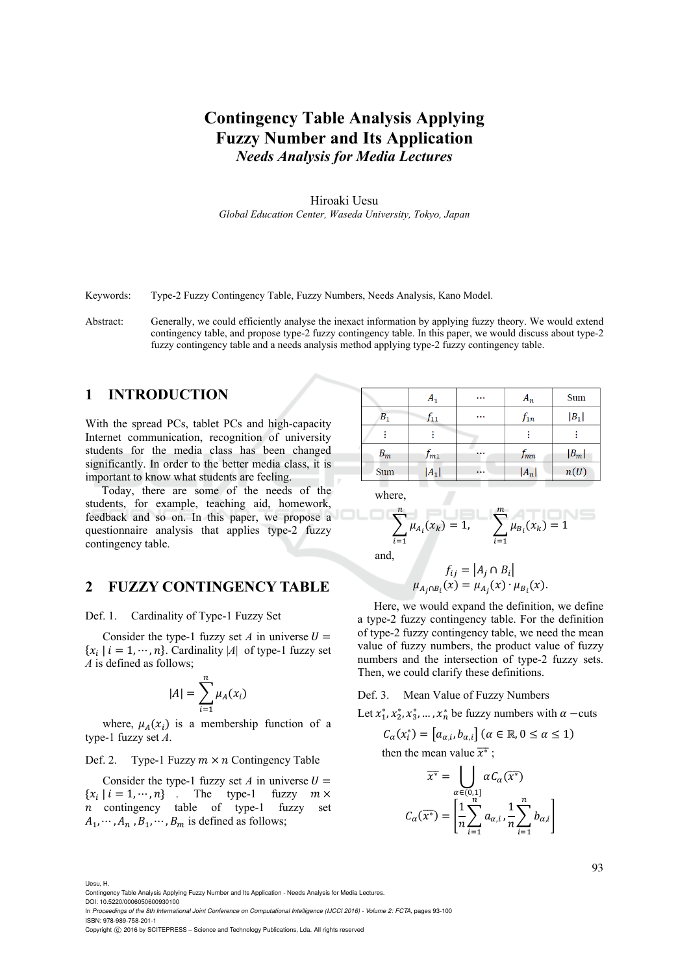# **Contingency Table Analysis Applying Fuzzy Number and Its Application**  *Needs Analysis for Media Lectures*

Hiroaki Uesu *Global Education Center, Waseda University, Tokyo, Japan* 

Keywords: Type-2 Fuzzy Contingency Table, Fuzzy Numbers, Needs Analysis, Kano Model.

Abstract: Generally, we could efficiently analyse the inexact information by applying fuzzy theory. We would extend contingency table, and propose type-2 fuzzy contingency table. In this paper, we would discuss about type-2 fuzzy contingency table and a needs analysis method applying type-2 fuzzy contingency table.

## **1 INTRODUCTION**

With the spread PCs, tablet PCs and high-capacity Internet communication, recognition of university students for the media class has been changed significantly. In order to the better media class, it is important to know what students are feeling.

Today, there are some of the needs of the students, for example, teaching aid, homework, feedback and so on. In this paper, we propose a questionnaire analysis that applies type-2 fuzzy contingency table.

### **2 FUZZY CONTINGENCY TABLE**

Def. 1. Cardinality of Type-1 Fuzzy Set

Consider the type-1 fuzzy set *A* in universe  $U =$  $\{x_i \mid i = 1, \dots, n\}$ . Cardinality  $|A|$  of type-1 fuzzy set *A* is defined as follows;

$$
|A| = \sum_{i=1}^n \mu_A(x_i)
$$

where,  $\mu_A(x_i)$  is a membership function of a type-1 fuzzy set *A*.

### Def. 2. Type-1 Fuzzy  $m \times n$  Contingency Table

Consider the type-1 fuzzy set *A* in universe  $U =$  $\{x_i \mid i = 1, \dots, n\}$  . The type-1 fuzzy  $m \times$  $n$  contingency table of type-1 fuzzy set  $A_1, \dots, A_n, B_1, \dots, B_m$  is defined as follows;

|                    | $A_1$    | $\cdots$ | $A_n$    | Sum     |  |
|--------------------|----------|----------|----------|---------|--|
| $\scriptstyle B_1$ | T11      | $\cdots$ | $f_{1n}$ | $ B_1 $ |  |
|                    |          |          |          |         |  |
| $B_{\bm{m}}$       | $f_{m1}$ |          | $f_{mn}$ | $ B_m $ |  |
| Sum                | $ A_1 $  | $\cdots$ | $ A_n $  | n(U)    |  |
|                    |          |          |          |         |  |

where,

$$
\sum_{i=1}^{n} \mu_{A_i}(x_k) = 1, \qquad \sum_{i=1}^{m} \mu_{B_i}(x_k) = 1
$$

and,

$$
f_{ij} = |A_j \cap B_i|
$$
  

$$
\mu_{A_j \cap B_i}(x) = \mu_{A_j}(x) \cdot \mu_{B_i}(x).
$$

Here, we would expand the definition, we define a type-2 fuzzy contingency table. For the definition of type-2 fuzzy contingency table, we need the mean value of fuzzy numbers, the product value of fuzzy numbers and the intersection of type-2 fuzzy sets. Then, we could clarify these definitions.

Def. 3. Mean Value of Fuzzy Numbers

Let  $x_1^*, x_2^*, x_3^*, \dots, x_n^*$  be fuzzy numbers with  $\alpha$  –cuts

$$
C_{\alpha}(x_i^*) = [a_{\alpha,i}, b_{\alpha,i}] \ (\alpha \in \mathbb{R}, 0 \le \alpha \le 1)
$$
  
then the mean value  $\overline{x^*}$ ;

$$
\overline{x^*} = \bigcup_{\alpha \in (0,1] \atop \alpha(\overline{x^*})} \alpha C_{\alpha}(\overline{x^*})
$$

$$
C_{\alpha}(\overline{x^*}) = \left[ \frac{1}{n} \sum_{i=1}^n a_{\alpha,i}, \frac{1}{n} \sum_{i=1}^n b_{\alpha,i} \right]
$$

Uesu, H.

Contingency Table Analysis Applying Fuzzy Number and Its Application - Needs Analysis for Media Lectures. DOI: 10.5220/0006050600930100

In *Proceedings of the 8th International Joint Conference on Computational Intelligence (IJCCI 2016) - Volume 2: FCTA*, pages 93-100 ISBN: 978-989-758-201-1

Copyright (C) 2016 by SCITEPRESS - Science and Technology Publications, Lda. All rights reserved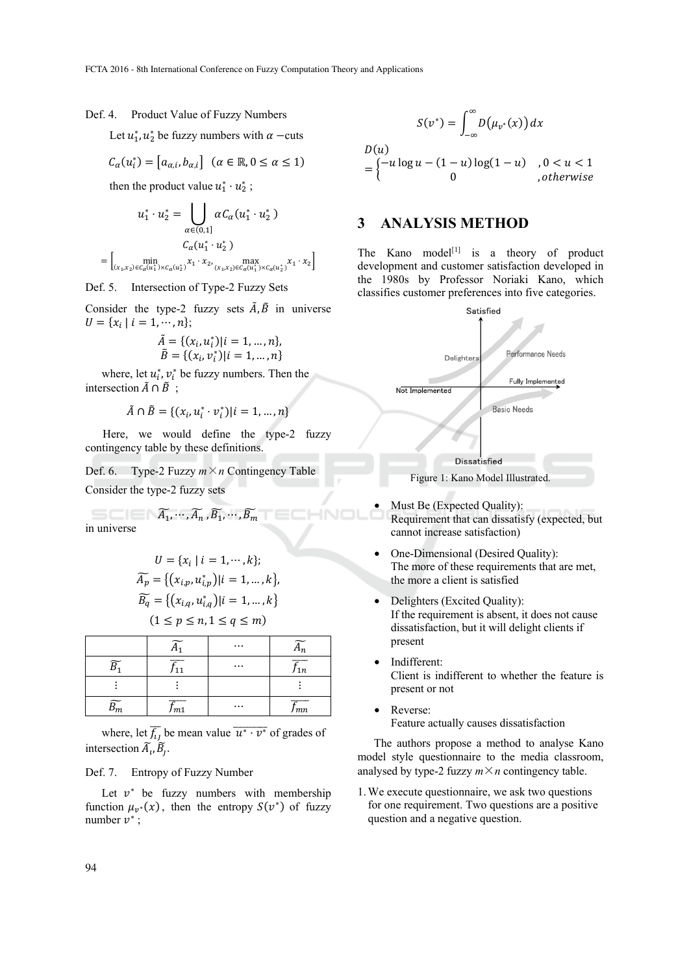#### Def. 4. Product Value of Fuzzy Numbers

Let  $u_1^*, u_2^*$  be fuzzy numbers with  $\alpha$  –cuts

$$
C_{\alpha}(u_i^*) = [a_{\alpha,i}, b_{\alpha,i}] \quad (\alpha \in \mathbb{R}, 0 \le \alpha \le 1)
$$

then the product value  $u_1^* \cdot u_2^*$ ;

$$
u_1^* \cdot u_2^* = \bigcup_{\alpha \in (0,1]} \alpha C_{\alpha} (u_1^* \cdot u_2^*)
$$
  
= 
$$
\left[ \min_{(x_1, x_2) \in C_{\alpha}(u_1^*) \times C_{\alpha}(u_2^*)} x_1 \cdot x_2, \max_{(x_1, x_2) \in C_{\alpha}(u_1^*) \times C_{\alpha}(u_2^*)} x_1 \cdot x_2 \right]
$$

Def. 5. Intersection of Type-2 Fuzzy Sets

Consider the type-2 fuzzy sets  $\tilde{A}$ ,  $\tilde{B}$  in universe  $U = \{x_i \mid i = 1, \cdots, n\};\$ 

$$
\tilde{A} = \{ (x_i, u_i^*) | i = 1, ..., n \},
$$
  

$$
\tilde{B} = \{ (x_i, v_i^*) | i = 1, ..., n \}
$$

where, let  $u_i^*$ ,  $v_i^*$  be fuzzy numbers. Then the intersection  $\tilde{A} \cap \tilde{B}$ :

$$
\tilde{A}\cap \tilde{B}=\{(x_i,u_i^*\cdot v_i^*)|i=1,\ldots,n\}
$$

Here, we would define the type-2 fuzzy contingency table by these definitions.

Def. 6. Type-2 Fuzzy  $m \times n$  Contingency Table Consider the type-2 fuzzy sets

$$
\widetilde{A_1}, \cdots, \widetilde{A_n}, \widetilde{B_1}, \cdots, \widetilde{B_m}
$$
 in universe

$$
U = \{x_i \mid i = 1, \dots, k\};
$$
  
\n
$$
\widetilde{A_p} = \{ (x_{i,p}, u_{i,p}^*) \mid i = 1, \dots, k \},
$$
  
\n
$$
\widetilde{B_q} = \{ (x_{i,q}, u_{i,q}^*) \mid i = 1, \dots, k \}
$$
  
\n
$$
(1 \le p \le n, 1 \le q \le m)
$$

|   |     | $\cdots$ |                     |
|---|-----|----------|---------------------|
| ~ |     | $\cdots$ | J 1 n               |
|   |     |          |                     |
|   | Jm1 | $\cdots$ | -----<br><i>Jmn</i> |

where, let  $\overline{f_{ij}}$  be mean value  $\overline{u^* \cdot v^*}$  of grades of intersection  $\widetilde{A}_i$ ,  $\widetilde{B}_j$ .

#### Def. 7. Entropy of Fuzzy Number

Let  $v^*$  be fuzzy numbers with membership function  $\mu_{v^*}(x)$ , then the entropy  $S(v^*)$  of fuzzy number  $v^*$ ;

$$
S(v^*) = \int_{-\infty}^{\infty} D(\mu_{v^*}(x)) dx
$$
  

$$
D(u)
$$
  

$$
= \begin{cases} -u \log u - (1-u) \log(1-u) & , 0 < u < 1 \\ 0 & , otherwise \end{cases}
$$

## **3 ANALYSIS METHOD**

The Kano model<sup>[1]</sup> is a theory of product development and customer satisfaction developed in the 1980s by Professor Noriaki Kano, which classifies customer preferences into five categories.



Figure 1: Kano Model Illustrated.

- Must Be (Expected Quality): Requirement that can dissatisfy (expected, but cannot increase satisfaction)
- One-Dimensional (Desired Quality): The more of these requirements that are met, the more a client is satisfied
- Delighters (Excited Quality): If the requirement is absent, it does not cause dissatisfaction, but it will delight clients if present
- Indifferent: Client is indifferent to whether the feature is present or not
- Reverse: Feature actually causes dissatisfaction

The authors propose a method to analyse Kano model style questionnaire to the media classroom, analysed by type-2 fuzzy  $m \times n$  contingency table.

1.We execute questionnaire, we ask two questions for one requirement. Two questions are a positive question and a negative question.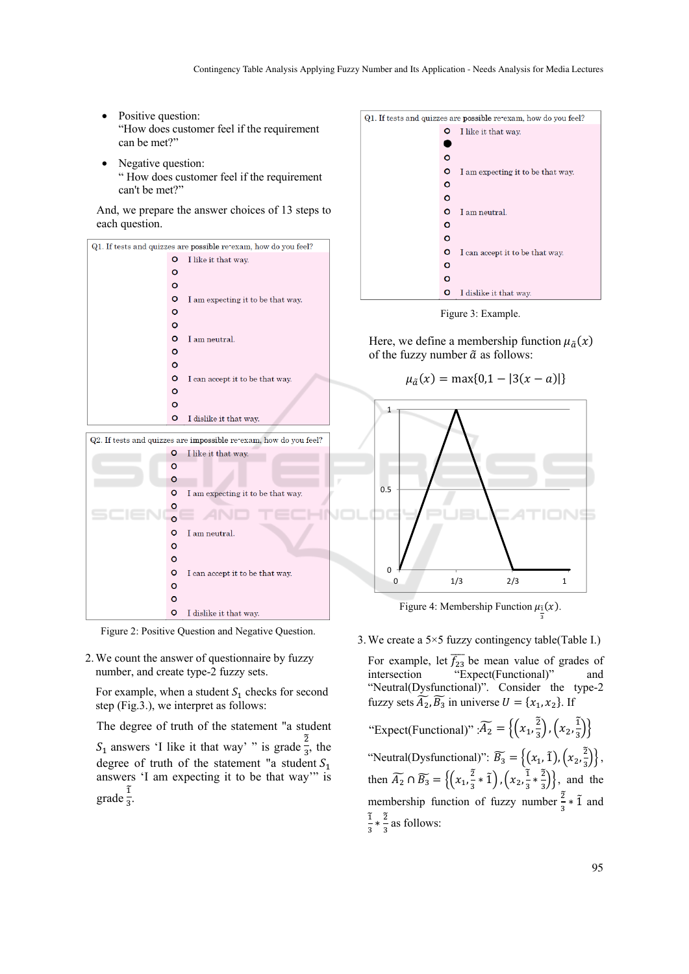- Positive question: "How does customer feel if the requirement can be met?"
- Negative question: " How does customer feel if the requirement can't be met?"

And, we prepare the answer choices of 13 steps to each question.



Figure 2: Positive Question and Negative Question.

2.We count the answer of questionnaire by fuzzy number, and create type-2 fuzzy sets.

For example, when a student  $S_1$  checks for second step (Fig.3.), we interpret as follows:

The degree of truth of the statement "a student

 $S_1$  answers 'I like it that way' " is grade  $\frac{2}{3}$  $rac{2}{3}$ , the degree of truth of the statement "a student  $S_1$ answers 'I am expecting it to be that way'" is  $\frac{1}{3}$ grade  $\frac{\widetilde{1}}{3}$ .



Figure 3: Example.

Here, we define a membership function  $\mu_{\tilde{a}}(x)$ of the fuzzy number  $\tilde{a}$  as follows:

$$
\mu_{\tilde{a}}(x) = \max\{0, 1 - |3(x - a)|\}
$$



Figure 4: Membership Function  $\mu_{\tilde{\imath}}(x)$ . య

3.We create a 5×5 fuzzy contingency table(Table I.)

For example, let  $\overline{f_{23}}$  be mean value of grades of intersection "Expect(Functional)" and "Neutral(Dysfunctional)". Consider the type-2 fuzzy sets  $\widetilde{A_2}$ ,  $\widetilde{B_3}$  in universe  $U = \{x_1, x_2\}$ . If "Expect(Functional)" :  $\widetilde{A_2} = \left\{ \left( x_1, \frac{3}{3} \right) \right\}$  $\left(\frac{2}{3}\right)$ ,  $\left(x_2, \frac{1}{3}\right)$  $\left(\frac{1}{3}\right)$ "Neutral(Dysfunctional)":  $\widetilde{B_3} = \{(x_1, \tilde{1}), (x_2, \frac{\tilde{2}}{3})\}$ ଷ  $\left(\frac{2}{5}\right)$ , then  $\widetilde{A_2} \cap \widetilde{B_3} = \left\{ \left( x_1, \frac{3}{2} \right) \right\}$  $\frac{\widetilde{2}}{3} * \widetilde{1}$ ,  $\left(x_2, \frac{\widetilde{1}}{3}\right)$  $\frac{\widetilde{1}}{3} * \frac{\widetilde{2}}{3}$  $\left\{\frac{z}{2}\right\}$ , and the

membership function of fuzzy number  $\frac{3}{3} * \tilde{1}$  and  $rac{1}{3} * \frac{2}{3}$  as follows:

ଵ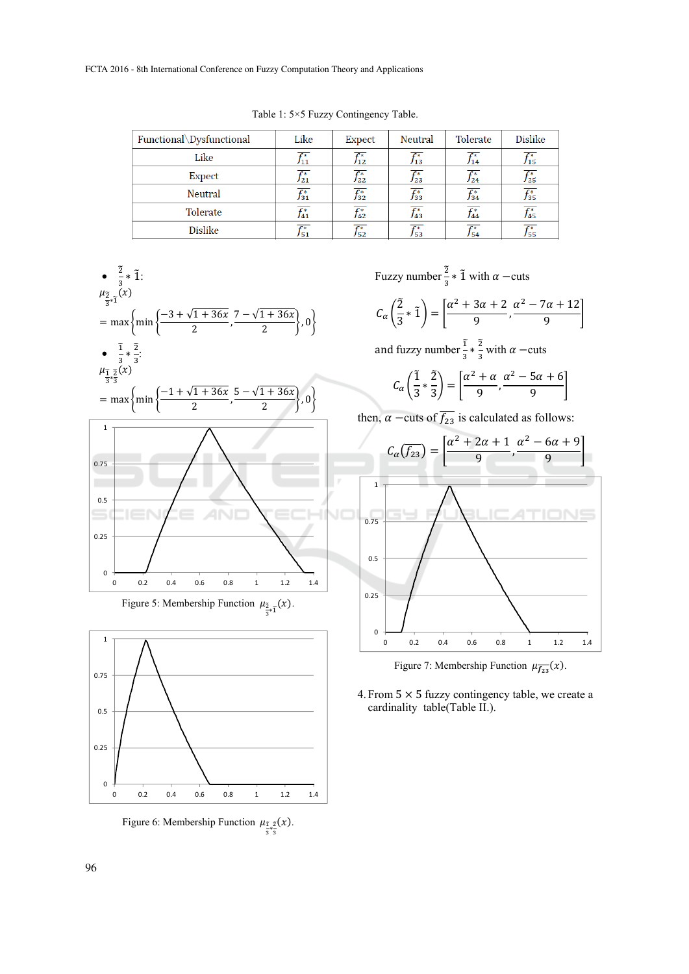|  |  |  | Table 1: 5×5 Fuzzy Contingency Table. |  |
|--|--|--|---------------------------------------|--|
|--|--|--|---------------------------------------|--|

| Functional\Dysfunctional | Like                  | <b>Expect</b>         | Neutral               | Tolerate              | <b>Dislike</b>                 |
|--------------------------|-----------------------|-----------------------|-----------------------|-----------------------|--------------------------------|
| Like                     | $\overline{f_{11}^*}$ | $\overline{f_{12}^*}$ | $\overline{f_{13}^*}$ | $\overline{f_{14}^*}$ | $\overline{f^*_{15}}$          |
| <b>Expect</b>            | $\overline{f^*_{21}}$ | $\overline{f^*_{22}}$ | $\overline{f^*_{23}}$ | $\overline{f_{24}^*}$ | $\overline{f^*_{25}}$          |
| Neutral                  | $\overline{f^*_{31}}$ | $\overline{f^*_{32}}$ | $\overline{f_{33}^*}$ | $\overline{f_{34}^*}$ | $\overline{f^*_{35}}$          |
| Tolerate                 | $\overline{f_{41}^*}$ | $\overline{f_{42}^*}$ | $\overline{f_{43}^*}$ | $\overline{f^*_{44}}$ | $\overline{f^*_{45}}$          |
| <b>Dislike</b>           | $f_{51}^*$            | $\overline{f^*_{52}}$ | $f^*_{53}$            | $f^*_{54}$            | $f^*_{\scriptscriptstyle{55}}$ |



Figure 5: Membership Function  $\mu_{\frac{3}{3}*\tilde{1}}(x)$ .



Figure 6: Membership Function  $\mu_{\tilde{\chi}^2}(\tilde{x})$ .

Fuzzy number  $\frac{2}{3}$  \* 1 with  $\alpha$  –cuts

$$
C_{\alpha}\left(\frac{\tilde{2}}{3} \ast \tilde{1}\right) = \left[\frac{\alpha^2 + 3\alpha + 2}{9}, \frac{\alpha^2 - 7\alpha + 12}{9}\right]
$$

and fuzzy number  $\frac{1}{3} \times \frac{2}{3}$  with  $\alpha$  –cuts

$$
C_{\alpha}\left(\frac{\tilde{1}}{3} \ast \frac{\tilde{2}}{3}\right) = \left[\frac{\alpha^2 + \alpha}{9}, \frac{\alpha^2 - 5\alpha + 6}{9}\right]
$$

then,  $\alpha$  –cuts of  $\overline{f_{23}}$  is calculated as follows:



Figure 7: Membership Function  $\mu_{\overline{f_{23}}}(x)$ .

4. From  $5 \times 5$  fuzzy contingency table, we create a cardinality table(Table II.).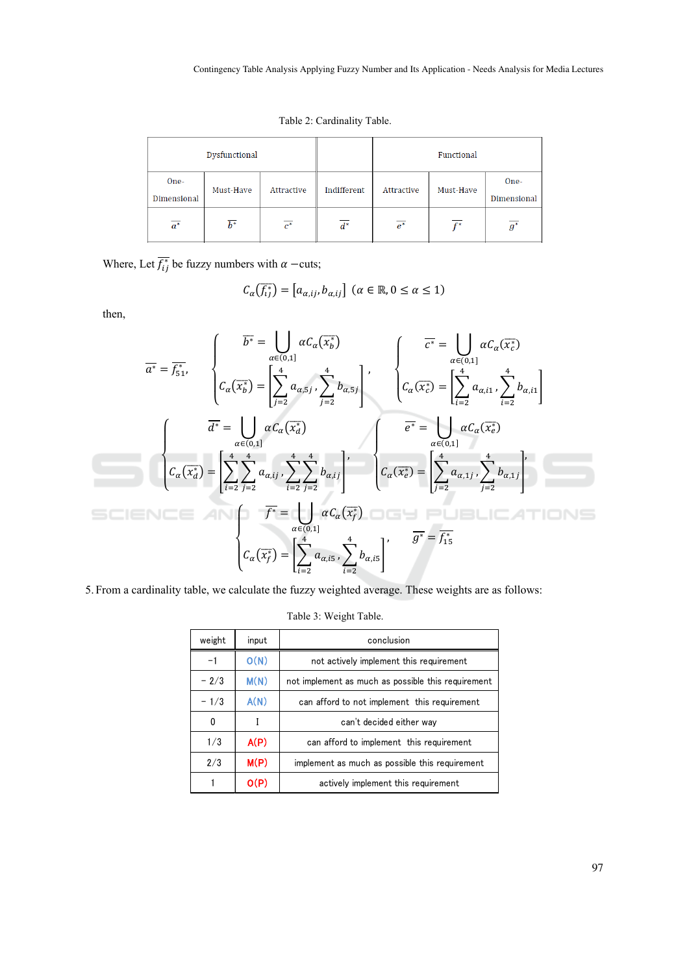Table 2: Cardinality Table.

| Dysfunctional       |                  |                  |                  |                  | Functional |                     |
|---------------------|------------------|------------------|------------------|------------------|------------|---------------------|
| One-<br>Dimensional | Must-Have        | Attractive       | Indifferent      | Attractive       | Must-Have  | One-<br>Dimensional |
| $\overline{a^*}$    | $\overline{b^*}$ | $\overline{c^*}$ | $\overline{d^*}$ | $\overline{e^*}$ | r*         | $g^*$               |

Where, Let  $\overline{f_{ij}^*}$  be fuzzy numbers with  $\alpha$  –cuts;

$$
C_{\alpha}(\overline{f_{ij}}) = [a_{\alpha,ij}, b_{\alpha,ij}] \ (\alpha \in \mathbb{R}, 0 \le \alpha \le 1)
$$

then,

$$
\overline{a^*} = \overline{f_{51}^*},
$$
\n
$$
\overline{a^*} = \overline{f_{51}^*},
$$
\n
$$
\begin{cases}\n\overline{b^*} = \bigcup_{\alpha \in (0,1]} \alpha C_{\alpha}(\overline{x_b^*}) \\
C_{\alpha}(\overline{x_b^*}) = \left[\sum_{j=2}^4 a_{\alpha,5j}, \sum_{j=2}^4 b_{\alpha,5j}\right]^\prime, \\
\overline{c^*} = \bigcup_{\alpha \in (0,1]} \alpha C_{\alpha}(\overline{x_c^*}) \\
\overline{c_{\alpha}(\overline{x_c^*})} = \left[\sum_{i=2}^4 a_{\alpha,i1}, \sum_{i=2}^4 b_{\alpha,i1}\right]^\prime\n\end{cases}
$$
\n
$$
\begin{cases}\n\overline{a^*} = \bigcup_{\alpha \in (0,1]} \alpha C_{\alpha}(\overline{x_a^*}) \\
C_{\alpha}(\overline{x_a^*}) = \left[\sum_{i=2}^4 \sum_{j=2}^4 a_{\alpha,ij}, \sum_{i=2}^4 \sum_{j=2}^4 b_{\alpha,ij}\right]^\prime, \\
\overline{c_{\alpha}(\overline{x_c^*})} = \left[\sum_{j=2}^4 a_{\alpha,5j}, \sum_{i=2}^4 b_{\alpha,is}\right]^\prime\n\end{cases}
$$
\n
$$
\begin{cases}\n\overline{c^*} = \bigcup_{\alpha \in (0,1]} \alpha C_{\alpha}(\overline{x_c^*}) \\
C_{\alpha}(\overline{x_c^*}) = \left[\sum_{i=2}^4 a_{\alpha,i5}, \sum_{i=2}^4 b_{\alpha,i5}\right]^\prime\n\end{cases}
$$

5. From a cardinality table, we calculate the fuzzy weighted average. These weights are as follows:

| weight | input | conclusion                                         |
|--------|-------|----------------------------------------------------|
|        |       |                                                    |
| $-1$   | O(N)  | not actively implement this requirement            |
| $-2/3$ | M(N)  | not implement as much as possible this requirement |
| $-1/3$ | A(N)  | can afford to not implement this requirement       |
| 0      |       | can't decided either way                           |
| 1/3    | A(P)  | can afford to implement this requirement           |
| 2/3    | M(P)  | implement as much as possible this requirement     |
|        | O(P)  | actively implement this requirement                |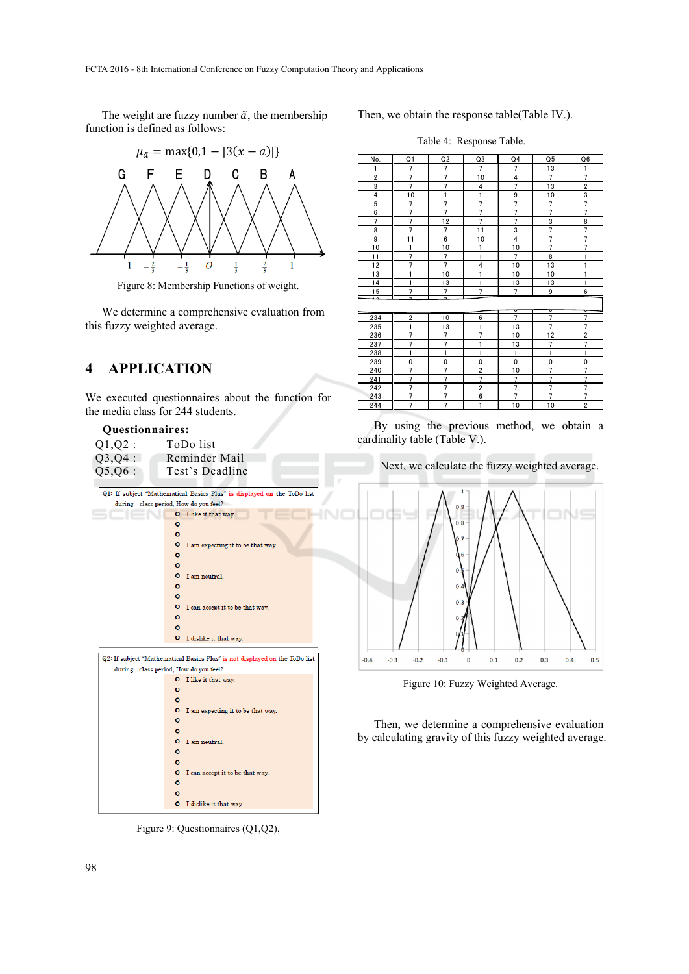The weight are fuzzy number  $\tilde{a}$ , the membership function is defined as follows:



Figure 8: Membership Functions of weight.

We determine a comprehensive evaluation from this fuzzy weighted average.

# **4 APPLICATION**

We executed questionnaires about the function for the media class for 244 students.

### **Questionnaires:**

| 01.02:    | ToDo list                                                               |
|-----------|-------------------------------------------------------------------------|
| $Q3,Q4$ : | Reminder Mail                                                           |
| 05.06:    | Test's Deadline                                                         |
|           | Q1: If subject "Mathematical Basics Plus" is displayed on the ToDo list |

|  |              | during class period, How do you feel?                                       |
|--|--------------|-----------------------------------------------------------------------------|
|  |              | O I like it that way.                                                       |
|  | O            |                                                                             |
|  | $\bullet$    |                                                                             |
|  | ۰            | I am expecting it to be that way.                                           |
|  | ۰            |                                                                             |
|  | $\circ$      |                                                                             |
|  | ۰            | I am neutral.                                                               |
|  | O            |                                                                             |
|  | $\bullet$    |                                                                             |
|  | ۰            | I can accept it to be that way.                                             |
|  | $\circ$      |                                                                             |
|  | $\circ$<br>۰ |                                                                             |
|  |              | I dislike it that way.                                                      |
|  |              | Q2: If subject "Mathematical Basics Plus" is not displayed on the ToDo list |
|  |              | during class period, How do you feel?                                       |
|  |              | <b>O</b> I like it that way.                                                |
|  | $\circ$      |                                                                             |
|  | $\circ$      |                                                                             |
|  | $\circ$      | I am expecting it to be that way.                                           |
|  | $\circ$      |                                                                             |
|  | $\circ$      |                                                                             |
|  |              | O I am neutral.                                                             |
|  | $\circ$      |                                                                             |
|  | $\circ$      |                                                                             |
|  |              | O I can accept it to be that way.                                           |
|  | ٥            |                                                                             |
|  | $\circ$      |                                                                             |
|  |              | <b>Q</b> I dislike it that way                                              |

Figure 9: Questionnaires (Q1,Q2).

Then, we obtain the response table(Table IV.).

Table 4: Response Table.

| No.                     | Q <sub>1</sub> | Q2             | Q3             | Q <sub>4</sub> | Q <sub>5</sub> | Q6             |
|-------------------------|----------------|----------------|----------------|----------------|----------------|----------------|
| 1                       | 7              | 7              | 7              | 7              | 13             | 1              |
| $\overline{\mathbf{c}}$ | $\overline{7}$ | $\overline{7}$ | 10             | 4              | $\overline{7}$ | $\overline{7}$ |
| 3                       | $\overline{7}$ | $\overline{7}$ | 4              | $\overline{7}$ | 13             | $\overline{c}$ |
| 4                       | 10             | $\mathbf{1}$   | $\mathbf{1}$   | 9              | 10             | 3              |
| 5                       | $\overline{7}$ | $\overline{7}$ | $\overline{7}$ | $\overline{7}$ | $\overline{7}$ | $\overline{7}$ |
| 6                       | $\overline{7}$ | $\overline{7}$ | $\overline{7}$ | $\overline{7}$ | $\overline{7}$ | $\overline{7}$ |
| 7                       | $\overline{7}$ | 12             | $\overline{7}$ | $\overline{7}$ | 3              | 8              |
| 8                       | $\overline{7}$ | $\overline{7}$ | 11             | 3              | $\overline{7}$ | $\overline{7}$ |
| 9                       | 11             | 6              | 10             | 4              | $\overline{7}$ | $\overline{7}$ |
| 10                      | $\mathbf{1}$   | 10             | 1              | 10             | $\overline{7}$ | $\overline{7}$ |
| 11                      | $\overline{7}$ | $\overline{7}$ | 1              | $\overline{7}$ | 8              | 1              |
| 12                      | $\overline{7}$ | $\overline{7}$ | 4              | 10             | 13             | 1              |
| 13                      | 1              | 10             | 1              | 10             | 10             | 1              |
| 14                      | 1              | 13             | 1              | 13             | 13             | 1              |
| 15                      | $\overline{7}$ | 7              | 7              | $\overline{7}$ | 9              | 6              |
|                         | ۰              |                |                | ᢦ              | ᢦ              |                |
| 234                     | 2              | 10             | 6              | $\overline{7}$ | $\overline{7}$ | 7              |
| 235                     | 1              | 13             | 1              | 13             | $\overline{7}$ | $\overline{7}$ |
| 236                     | $\overline{7}$ | $\overline{7}$ | $\overline{7}$ | 10             | 12             | $\overline{c}$ |
| 237                     | $\overline{7}$ | $\overline{7}$ | 1              | 13             | $\overline{7}$ | $\overline{7}$ |
| 238                     | 1              | $\mathbf{1}$   | 1              | $\mathbf{1}$   | 1              | $\mathbf{1}$   |
| 239                     | 0              | 0              | 0              | 0              | 0              | $\mathbf 0$    |
| 240                     | $\overline{7}$ | $\overline{7}$ | $\overline{2}$ | 10             | $\overline{7}$ | $\overline{7}$ |
| 241                     | $\overline{7}$ | $\overline{7}$ | $\overline{7}$ | $\overline{7}$ | $\overline{7}$ | 7              |
| 242                     | $\overline{7}$ | $\overline{7}$ | $\overline{2}$ | $\overline{7}$ | $\overline{7}$ | $\overline{7}$ |
| 243                     | $\overline{7}$ | 7              | 6              | $\overline{7}$ | $\overline{7}$ | 7              |
| 244                     | $\overline{7}$ | $\overline{7}$ | $\mathbf{1}$   | 10             | 10             | $\overline{2}$ |

By using the previous method, we obtain a cardinality table (Table V.).

Next, we calculate the fuzzy weighted average.



Figure 10: Fuzzy Weighted Average.

Then, we determine a comprehensive evaluation by calculating gravity of this fuzzy weighted average.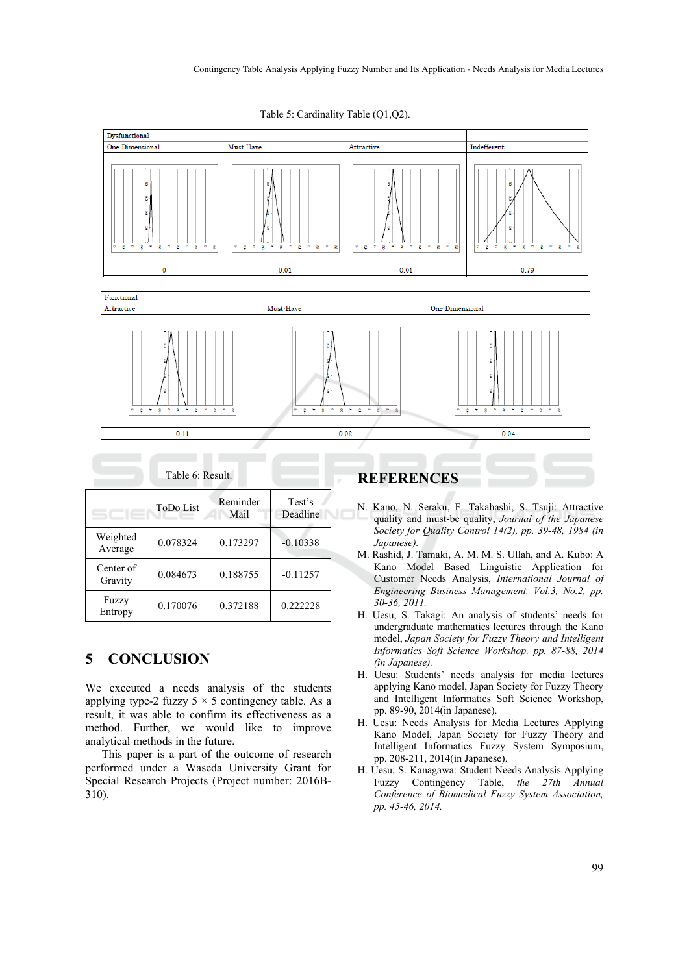

Table 5: Cardinality Table (Q1,Q2).

| Table 6: Result.     |                  |                  |                    |  |  |  |  |
|----------------------|------------------|------------------|--------------------|--|--|--|--|
|                      | <b>ToDo List</b> | Reminder<br>Mail | Test's<br>Deadline |  |  |  |  |
| Weighted<br>Average  | 0.078324         | 0.173297         | $-0.10338$         |  |  |  |  |
| Center of<br>Gravity | 0.084673         | 0.188755         | $-0.11257$         |  |  |  |  |
| Fuzzy<br>Entropy     | 0.170076         | 0.372188         | 0.222228           |  |  |  |  |

# **5 CONCLUSION**

We executed a needs analysis of the students applying type-2 fuzzy  $5 \times 5$  contingency table. As a result, it was able to confirm its effectiveness as a method. Further, we would like to improve analytical methods in the future.

This paper is a part of the outcome of research performed under a Waseda University Grant for Special Research Projects (Project number: 2016B-310).

## **REFERENCES**

- N. Kano, N. Seraku, F. Takahashi, S. Tsuji: Attractive quality and must-be quality, *Journal of the Japanese Society for Quality Control 14(2), pp. 39-48, 1984 (in Japanese).*
- M. Rashid, J. Tamaki, A. M. M. S. Ullah, and A. Kubo: A Kano Model Based Linguistic Application for Customer Needs Analysis, *International Journal of Engineering Business Management, Vol.3, No.2, pp. 30-36, 2011.*
- H. Uesu, S. Takagi: An analysis of students' needs for undergraduate mathematics lectures through the Kano model, *Japan Society for Fuzzy Theory and Intelligent Informatics Soft Science Workshop, pp. 87-88, 2014 (in Japanese).*
- H. Uesu: Students' needs analysis for media lectures applying Kano model, Japan Society for Fuzzy Theory and Intelligent Informatics Soft Science Workshop, pp. 89-90, 2014(in Japanese).
- H. Uesu: Needs Analysis for Media Lectures Applying Kano Model, Japan Society for Fuzzy Theory and Intelligent Informatics Fuzzy System Symposium, pp. 208-211, 2014(in Japanese).
- H. Uesu, S. Kanagawa: Student Needs Analysis Applying Fuzzy Contingency Table, *the 27th Annual Conference of Biomedical Fuzzy System Association, pp. 45-46, 2014.*